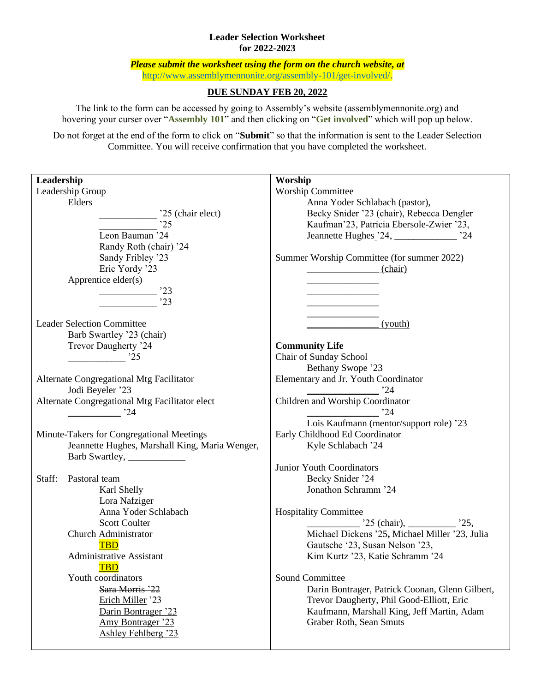## **Leader Selection Worksheet for 2022-2023**

*Please submit the worksheet using the form on the church website, at*  [http://www.assemblymennonite.org/assembly-101/get-involved/.](http://www.assemblymennonite.org/assembly-101/get-involved/)

## **DUE SUNDAY FEB 20, 2022**

The link to the form can be accessed by going to Assembly's website (assemblymennonite.org) and hovering your curser over "**Assembly 101**" and then clicking on "**Get involved**" which will pop up below.

Do not forget at the end of the form to click on "**Submit**" so that the information is sent to the Leader Selection Committee. You will receive confirmation that you have completed the worksheet.

| Leadership                                     | Worship                                         |
|------------------------------------------------|-------------------------------------------------|
| Leadership Group                               | <b>Worship Committee</b>                        |
| Elders                                         | Anna Yoder Schlabach (pastor),                  |
| '25 (chair elect)                              | Becky Snider '23 (chair), Rebecca Dengler       |
| .25                                            | Kaufman'23, Patricia Ebersole-Zwier '23,        |
| Leon Bauman '24                                | Jeannette Hughes 24, 24                         |
| Randy Roth (chair) '24                         |                                                 |
| Sandy Fribley '23                              | Summer Worship Committee (for summer 2022)      |
| Eric Yordy '23                                 | (chair)                                         |
| Apprentice elder(s)                            |                                                 |
| '23                                            |                                                 |
| 23                                             |                                                 |
|                                                |                                                 |
| <b>Leader Selection Committee</b>              | (youth)                                         |
| Barb Swartley '23 (chair)                      |                                                 |
| Trevor Daugherty '24                           | <b>Community Life</b>                           |
| $\frac{1}{25}$                                 | Chair of Sunday School                          |
|                                                | Bethany Swope '23                               |
| Alternate Congregational Mtg Facilitator       | Elementary and Jr. Youth Coordinator            |
| Jodi Beyeler '23                               | .24                                             |
| Alternate Congregational Mtg Facilitator elect | Children and Worship Coordinator                |
| '24                                            | 24                                              |
|                                                | Lois Kaufmann (mentor/support role) '23         |
| Minute-Takers for Congregational Meetings      | Early Childhood Ed Coordinator                  |
| Jeannette Hughes, Marshall King, Maria Wenger, | Kyle Schlabach '24                              |
|                                                |                                                 |
|                                                | Junior Youth Coordinators                       |
| Staff:<br>Pastoral team                        | Becky Snider '24                                |
| Karl Shelly                                    | Jonathon Schramm '24                            |
| Lora Nafziger                                  |                                                 |
| Anna Yoder Schlabach                           | <b>Hospitality Committee</b>                    |
| <b>Scott Coulter</b>                           | $25$ (chair), 25,                               |
| <b>Church Administrator</b>                    | Michael Dickens '25, Michael Miller '23, Julia  |
| <b>TBD</b>                                     | Gautsche '23, Susan Nelson '23,                 |
| <b>Administrative Assistant</b>                | Kim Kurtz '23, Katie Schramm '24                |
| <b>TBD</b>                                     |                                                 |
| Youth coordinators                             | <b>Sound Committee</b>                          |
| Sara Morris '22                                | Darin Bontrager, Patrick Coonan, Glenn Gilbert, |
| Erich Miller '23                               | Trevor Daugherty, Phil Good-Elliott, Eric       |
| Darin Bontrager '23                            | Kaufmann, Marshall King, Jeff Martin, Adam      |
| Amy Bontrager '23                              | Graber Roth, Sean Smuts                         |
| <b>Ashley Fehlberg '23</b>                     |                                                 |
|                                                |                                                 |
|                                                |                                                 |